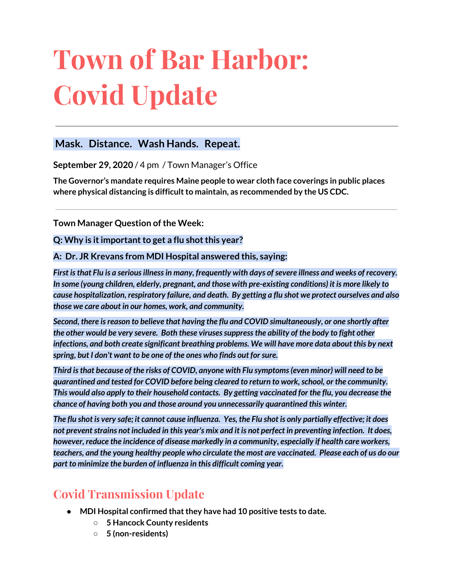# **Town of Bar Harbor: Covid Update**

### **Mask. Distance. Wash Hands. Repeat.**

**September 29, 2020** / 4 pm / Town Manager's Office

**The Governor's mandate requires Maine people to wear cloth face coverings in public places where physical distancing is difficultto maintain, as recommended by the US CDC.**

**Town Manager Question of the Week:** 

#### **Q:** Why is it important to get a flu shot this year?

#### **A: Dr. JR Krevans from MDI Hospital answered this, saying:**

*First isthat Flu is a seriousillnessin many, frequently with days ofsevere illness and weeks of recovery. In some (young children, elderly, pregnant, and those with pre-existing conditions) it is more likely to cause hospitalization, respiratory failure, and death. By getting a flu shot we protect ourselves and also those we care about in our homes, work, and community.*

*Second, there isreason to believe that having the flu and COVID simultaneously, or one shortly after the other would be very severe. Both these virusessuppressthe ability of the body to fight other infections, and both create significant breathing problems. We will have more data about this by next spring, but I don't want to be one of the ones who finds out forsure.*

*Third isthat because of the risks of COVID, anyone with Flu symptoms(even minor) will need to be quarantined and tested for COVID before being cleared to return to work,school, or the community. This would also apply to their household contacts. By getting vaccinated for the flu, you decrease the chance of having both you and those around you unnecessarily quarantined this winter.*

The flu shot is very safe; it cannot cause influenza. Yes, the Flu shot is only partially effective; it does not prevent strains not included in this year's mix and it is not perfect in preventing infection. It does, *however, reduce the incidence of disease markedly in a community, especially if health care workers,* teachers, and the young healthy people who circulate the most are vaccinated. Please each of us do our *part to minimize the burden of influenza in this difficult coming year.*

# **Covid Transmission Update**

- **• MDI Hospital confirmed that they have had 10 positive tests to date.** 
	- **○ 5 Hancock County residents**
	- **○ 5 (non-residents)**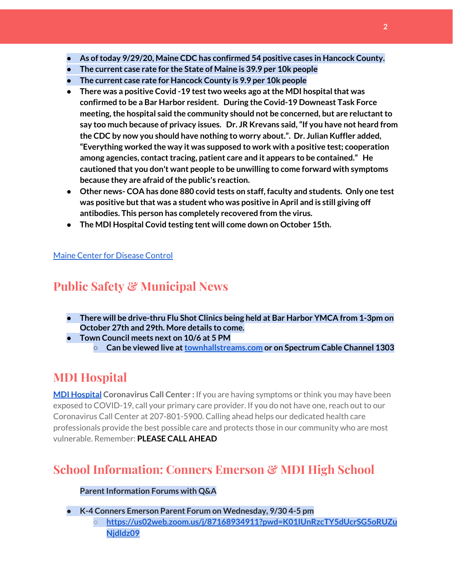- **● As oftoday 9/29/20, Maine CDC has confirmed 54 positive cases in Hancock County.**
- **● The current case rate for the State of Maine is 39.9 per 10k people**
- **● The current case rate for Hancock County is 9.9 per 10k people**
- **● There was a positive Covid -19 testtwo weeks ago atthe MDI hospitalthat was confirmed to be a Bar Harbor resident. During the Covid-19 Downeast Task Force meeting,the hospital said the community should not be concerned, but are reluctantto say too much because of privacy issues. Dr. JR Krevans said,"If you have not heard from the CDC by now you should have nothing to worry about.". Dr. Julian Kuffler added, "Everything worked the way it was supposed to work with a positive test; cooperation among agencies, contacttracing, patient care and it appears to be contained." He cautioned that you don't want people to be unwilling to come forward with symptoms because they are afraid ofthe public's reaction.**
- **● Other news- COA has done 880 covid tests on staff, faculty and students. Only one test was positive butthat was a student who was positive in April and is still giving off antibodies. This person has completely recovered from the virus.**
- **● The MDI Hospital Covid testing tent will come down on October 15th.**

#### Maine Center for [Disease](https://www.maine.gov/dhhs/mecdc/infectious-disease/epi/airborne/coronavirus.shtml) Control

# **Public Safety & Municipal News**

- **● There will be drive-thru Flu Shot Clinics being held at Bar Harbor YMCA from 1-3pm on October 27th and 29th. More details to come.**
- **● Town Council meets next on 10/6 at 5 PM**
	- **○ Can be viewed live at[townhallstreams.com](https://townhallstreams.com/) or on Spectrum Cable Channel 1303**

# **MDI Hospital**

**MDI [Hospital](https://www.mdihospital.org/) Coronavirus Call Center :** If you are having symptoms or think you may have been exposed to COVID-19, call your primary care provider. If you do not have one, reach out to our Coronavirus Call Center at 207-801-5900. Calling ahead helps our dedicated health care professionals provide the best possible care and protects those in our community who are most vulnerable. Remember: **PLEASE CALL AHEAD**

# **School Information: Conners Emerson & MDI High School**

#### **Parent Information Forums with Q&A**

**● K-4 Conners Emerson Parent Forum on Wednesday, 9/30 4-5 pm**

**○ [https://us02web.zoom.us/j/87168934911?pwd=K01IUnRzcTY5dUcrSG5oRUZu](http://track.spe.schoolmessenger.com/f/a/arc5IKIRQtffyQW-ZV7suA~~/AAAAAQA~/RgRhU3acP0RKaHR0cHM6Ly91czAyd2ViLnpvb20udXMvai84NzE2ODkzNDkxMT9wd2Q9SzAxSVVuUnpjVFk1ZFVjclNHNW9SVVp1TmpkbGR6MDlXB3NjaG9vbG1CCgBHHENyX7oBniVSGGJhcmhhcmJvcmpld2VsQGdtYWlsLmNvbVgEAAAAAQ~~) [Njdldz09](http://track.spe.schoolmessenger.com/f/a/arc5IKIRQtffyQW-ZV7suA~~/AAAAAQA~/RgRhU3acP0RKaHR0cHM6Ly91czAyd2ViLnpvb20udXMvai84NzE2ODkzNDkxMT9wd2Q9SzAxSVVuUnpjVFk1ZFVjclNHNW9SVVp1TmpkbGR6MDlXB3NjaG9vbG1CCgBHHENyX7oBniVSGGJhcmhhcmJvcmpld2VsQGdtYWlsLmNvbVgEAAAAAQ~~)**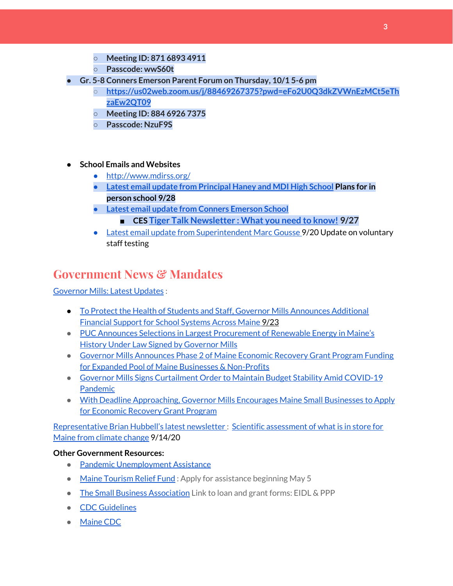- **○ Meeting ID: 871 6893 4911**
- **○ Passcode: wwS60t**
- **● Gr. 5-8 Conners Emerson Parent Forum on Thursday, 10/1 5-6 pm**
	- **○ [https://us02web.zoom.us/j/88469267375?pwd=eFo2U0Q3dkZVWnEzMCt5eTh](http://track.spe.schoolmessenger.com/f/a/7Pt8OhsXMrrNWxSENtkYjg~~/AAAAAQA~/RgRhU3acP0RKaHR0cHM6Ly91czAyd2ViLnpvb20udXMvai84ODQ2OTI2NzM3NT9wd2Q9ZUZvMlUwUTNka1pWV25Fek1DdDVlVGh6YUV3MlFUMDlXB3NjaG9vbG1CCgBHHENyX7oBniVSGGJhcmhhcmJvcmpld2VsQGdtYWlsLmNvbVgEAAAAAQ~~) [zaEw2QT09](http://track.spe.schoolmessenger.com/f/a/7Pt8OhsXMrrNWxSENtkYjg~~/AAAAAQA~/RgRhU3acP0RKaHR0cHM6Ly91czAyd2ViLnpvb20udXMvai84ODQ2OTI2NzM3NT9wd2Q9ZUZvMlUwUTNka1pWV25Fek1DdDVlVGh6YUV3MlFUMDlXB3NjaG9vbG1CCgBHHENyX7oBniVSGGJhcmhhcmJvcmpld2VsQGdtYWlsLmNvbVgEAAAAAQ~~)**
	- **○ Meeting ID: 884 6926 7375**
	- **○ Passcode: NzuF9S**
- **● School Emails and Websites**
	- <http://www.mdirss.org/>
	- **● Latest email update from [Principal](https://docs.google.com/document/d/1OKDsYNtOgV0FI9xAcXwQvenOKLV0S2vBg1o5jtu5CrE/edit?usp=sharing) Haney and MDI High School Plans for in person school 9/28**
	- **● Latest email update from Conners [Emerson](https://docs.google.com/document/d/1v3pgkG6Q-9S3gisuUIj4etPVDwgBKl4P00JBkvZr-kk/edit?usp=sharing) School**
		- **■ CES Tiger Talk [Newsletter](https://sites.google.com/mdirss.org/conners-emerson-school/newsletter) : What you need to know! 9/27**
	- Latest email update from [Superintendent](https://docs.google.com/document/d/1fzeCbc8gpTSKmUaDoQH1Avx5PVl-h0reFphXrT1eUNA/edit?usp=sharing) Marc Gousse 9/20 Update on voluntary staff testing

## **Government News & Mandates**

[Governor](https://www.maine.gov/governor/mills/) Mills: Latest Updates :

- To Protect the Health of Students and Staff, Governor Mills [Announces](https://www.maine.gov/governor/mills/news/protect-health-students-and-staff-governor-mills-announces-additional-financial-support-school) Additional [Financial](https://www.maine.gov/governor/mills/news/protect-health-students-and-staff-governor-mills-announces-additional-financial-support-school) Support for School Systems Across Maine 9/23
- PUC Announces Selections in Largest [Procurement](https://www.maine.gov/governor/mills/news/puc-announces-selections-largest-procurement-renewable-energy-maines-history-under-law-signed) of Renewable Energy in Maine's History Under Law Signed by [Governor](https://www.maine.gov/governor/mills/news/puc-announces-selections-largest-procurement-renewable-energy-maines-history-under-law-signed) Mills
- Governor Mills [Announces](https://www.maine.gov/governor/mills/news/governor-mills-announces-phase-2-maine-economic-recovery-grant-program-funding-expanded-pool) Phase 2 of Maine Economic Recovery Grant Program Funding for Expanded Pool of Maine Businesses & [Non-Profits](https://www.maine.gov/governor/mills/news/governor-mills-announces-phase-2-maine-economic-recovery-grant-program-funding-expanded-pool)
- Governor Mills Signs [Curtailment](https://www.maine.gov/governor/mills/news/governor-mills-signs-curtailment-order-maintain-budget-stability-amid-covid-19-pandemic-2020) Order to Maintain Budget Stability Amid COVID-19 [Pandemic](https://www.maine.gov/governor/mills/news/governor-mills-signs-curtailment-order-maintain-budget-stability-amid-covid-19-pandemic-2020)
- With Deadline [Approaching,](https://www.maine.gov/governor/mills/news/deadline-approaching-governor-mills-encourages-maine-small-businesses-apply-economic-recovery) Governor Mills Encourages Maine Small Businesses to Apply for [Economic](https://www.maine.gov/governor/mills/news/deadline-approaching-governor-mills-encourages-maine-small-businesses-apply-economic-recovery) Recovery Grant Program

[Representative](http://www.rephubbell.com/) Brian Hubbell's latest newsletter : Scientific [assessment](http://www.rephubbell.com/2020/09/14/scientific-assessment-of-what-is-in-store-for-maine-from-climate-change/) of what is in store for Maine from [climate](http://www.rephubbell.com/2020/09/14/scientific-assessment-of-what-is-in-store-for-maine-from-climate-change/) change 9/14/20

#### **Other Government Resources:**

- Pandemic [Unemployment](https://www.maine.gov/unemployment/pua/) Assistance
- Maine [Tourism](https://www.mainetourism.com/maine-tourism-relief-fund/) Relief Fund : Apply for assistance beginning May 5
- The Small Business [Association](https://www.sba.gov/) Link to loan and grant forms: EIDL & PPP
- CDC [Guidelines](https://www.cdc.gov/coronavirus/2019-nCoV/index.html)
- [Maine](https://www.maine.gov/dhhs/mecdc/infectious-disease/epi/airborne/coronavirus.shtml#news) CDC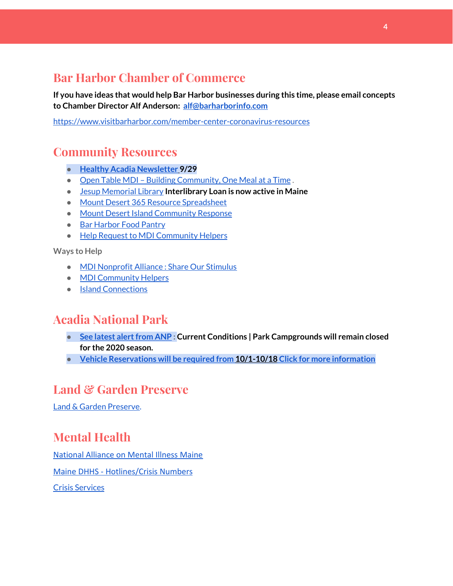## **Bar Harbor Chamber of Commerce**

**If you have ideas that would help Bar Harbor businesses during this time, please email concepts to Chamber Director Alf Anderson: [alf@barharborinfo.com](mailto:alf@barharborinfo.com)**

<https://www.visitbarharbor.com/member-center-coronavirus-resources>

## **Community Resources**

- **● Healthy Acadia [Newsletter](https://mailchi.mp/healthyacadia.org/september_29_2020?e=e6ccd2569f) [9](https://mailchi.mp/healthyacadia.org/september_29_2020?e=e6ccd2569f)/29**
- Open Table MDI Building [Community,](https://www.opentablemdi.org/) One Meal at a Time.
- Jesup [Memorial](https://jesuplibrary.org/) Library **Interlibrary Loan is now active in Maine**
- Mount Desert 365 Resource [Spreadsheet](https://docs.google.com/spreadsheets/d/1okAx6HSsgXZY9CGH07Dzi6rqe7a6m4dLCPKot2Li7Ek/edit?usp=sharing)
- Mount Desert Island [Community](https://www.mdicr.org/) Response
- Bar [Harbor](https://www.barharborfoodpantry.org/) Food Pantry
- Help Request to MDI [Community](https://docs.google.com/forms/d/e/1FAIpQLSeZfu0tCcthHc9oL7tPomVRdniYiE7nbT_kkK9iCSRgqDhOvQ/viewform) Helpers

**Ways to Help**

- MDI [Nonprofit](https://sites.google.com/mdina.org/public/sos-mdi?authuser=0) Alliance : Share Our Stimulus
- MDI [Community](https://docs.google.com/forms/d/e/1FAIpQLSe_CJUFdVvwJkmymWRqUeK8bx3m7n4uSOuUPYHqXSAyH2DBoQ/viewform?fbclid=IwAR25hjnWGhnMP0lOWMcBPRBumhtQCJGZO4hlk-T-VjNGZljL1kVX5pWrL6U) Helpers
- Island [Connections](http://islconnections.org/contact-us/)

## **Acadia National Park**

- **•** See latest alert from ANP: Current Conditions | Park Campgrounds will remain closed **for the 2020 season.**
- **● Vehicle [Reservations](https://www.nps.gov/acad/planyourvisit/vehicle_reservations.htm) will be required from [10/1-10/18](https://www.nps.gov/acad/planyourvisit/vehicle_reservations.htm) Click for more [information](https://www.nps.gov/acad/planyourvisit/vehicle_reservations.htm)**

## **Land & Garden Preserve**

Land & Garden [Preserve.](https://www.gardenpreserve.org/)

# **Mental Health**

[National Alliance on Mental Illness Maine](https://www.namimaine.org/)

[Maine DHHS - Hotlines/Crisis Numbers](https://www.maine.gov/dhhs/hotlines.shtml)

Crisis [Services](https://www.sweetser.org/programs-services/services-for-adults/crisis-services/)